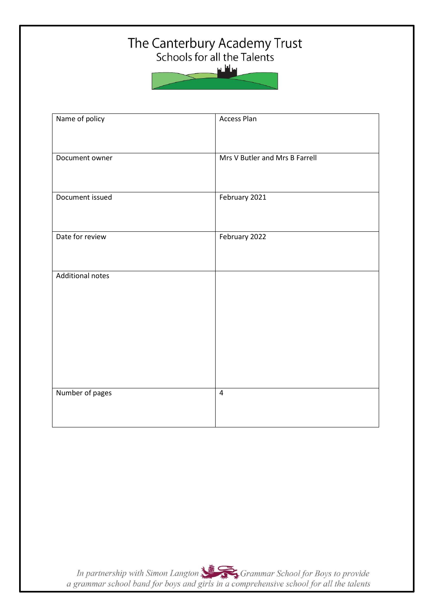## The Canterbury Academy Trust<br>Schools for all the Talents

سائلىد

| Name of policy          | <b>Access Plan</b>             |
|-------------------------|--------------------------------|
| Document owner          | Mrs V Butler and Mrs B Farrell |
| Document issued         | February 2021                  |
| Date for review         | February 2022                  |
| <b>Additional notes</b> |                                |
|                         |                                |
|                         |                                |
| Number of pages         | $\pmb{4}$                      |
|                         |                                |

In partnership with Simon Langton Sexter Grammar School for Boys to provide<br>a grammar school band for boys and girls in a comprehensive school for all the talents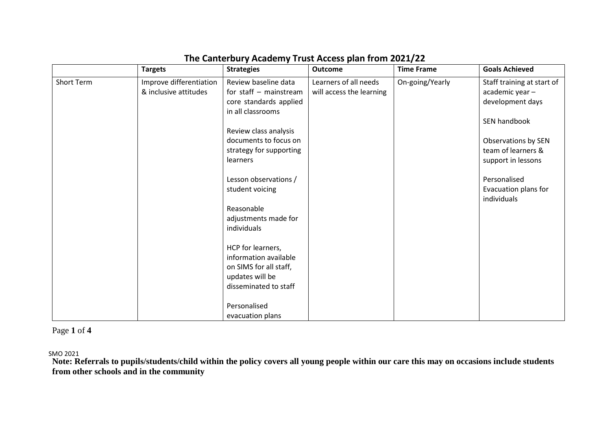|            | <b>Targets</b>                                   | <b>Strategies</b>                                                                                                                                                                                                                                                                                                                                                                                                             | <b>Outcome</b>                                    | <b>Time Frame</b> | <b>Goals Achieved</b>                                                                                                                                                                                       |
|------------|--------------------------------------------------|-------------------------------------------------------------------------------------------------------------------------------------------------------------------------------------------------------------------------------------------------------------------------------------------------------------------------------------------------------------------------------------------------------------------------------|---------------------------------------------------|-------------------|-------------------------------------------------------------------------------------------------------------------------------------------------------------------------------------------------------------|
| Short Term | Improve differentiation<br>& inclusive attitudes | Review baseline data<br>for staff $-$ mainstream<br>core standards applied<br>in all classrooms<br>Review class analysis<br>documents to focus on<br>strategy for supporting<br>learners<br>Lesson observations /<br>student voicing<br>Reasonable<br>adjustments made for<br>individuals<br>HCP for learners,<br>information available<br>on SIMS for all staff,<br>updates will be<br>disseminated to staff<br>Personalised | Learners of all needs<br>will access the learning | On-going/Yearly   | Staff training at start of<br>academic year -<br>development days<br>SEN handbook<br>Observations by SEN<br>team of learners &<br>support in lessons<br>Personalised<br>Evacuation plans for<br>individuals |
|            |                                                  | evacuation plans                                                                                                                                                                                                                                                                                                                                                                                                              |                                                   |                   |                                                                                                                                                                                                             |

## **The Canterbury Academy Trust Access plan from 2021/22**

Page **1** of **4**

SMO 2021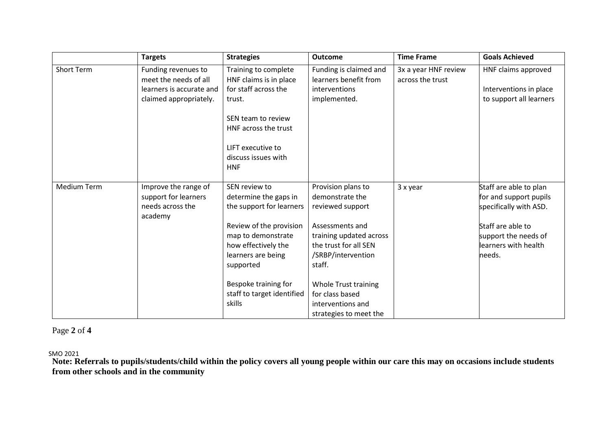|                    | <b>Targets</b>                                                                                     | <b>Strategies</b>                                                                                                                                                                                                                             | <b>Outcome</b>                                                                                                                                                                                                                                             | <b>Time Frame</b>                        | <b>Goals Achieved</b>                                                                                                                                     |
|--------------------|----------------------------------------------------------------------------------------------------|-----------------------------------------------------------------------------------------------------------------------------------------------------------------------------------------------------------------------------------------------|------------------------------------------------------------------------------------------------------------------------------------------------------------------------------------------------------------------------------------------------------------|------------------------------------------|-----------------------------------------------------------------------------------------------------------------------------------------------------------|
| Short Term         | Funding revenues to<br>meet the needs of all<br>learners is accurate and<br>claimed appropriately. | Training to complete<br>HNF claims is in place<br>for staff across the<br>trust.<br>SEN team to review<br>HNF across the trust<br>LIFT executive to<br>discuss issues with<br><b>HNF</b>                                                      | Funding is claimed and<br>learners benefit from<br>interventions<br>implemented.                                                                                                                                                                           | 3x a year HNF review<br>across the trust | HNF claims approved<br>Interventions in place<br>to support all learners                                                                                  |
| <b>Medium Term</b> | Improve the range of<br>support for learners<br>needs across the<br>academy                        | SEN review to<br>determine the gaps in<br>the support for learners<br>Review of the provision<br>map to demonstrate<br>how effectively the<br>learners are being<br>supported<br>Bespoke training for<br>staff to target identified<br>skills | Provision plans to<br>demonstrate the<br>reviewed support<br>Assessments and<br>training updated across<br>the trust for all SEN<br>/SRBP/intervention<br>staff.<br>Whole Trust training<br>for class based<br>interventions and<br>strategies to meet the | 3 x year                                 | Staff are able to plan<br>for and support pupils<br>specifically with ASD.<br>Staff are able to<br>support the needs of<br>learners with health<br>needs. |

## Page **2** of **4**

SMO 2021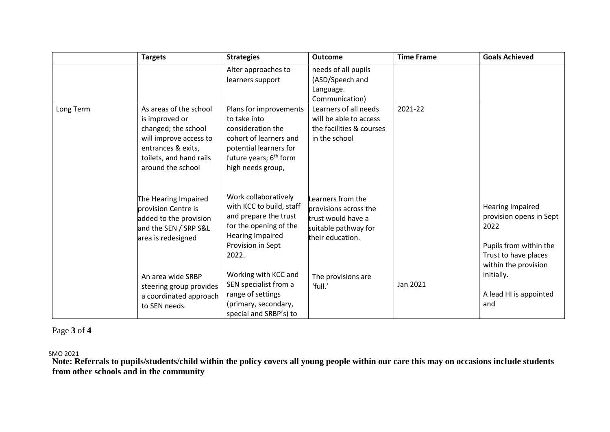|               | <b>Targets</b>                                                                                                                                                  | <b>Strategies</b>                                                                                                                                                          | <b>Outcome</b>                                                                                               | <b>Time Frame</b> | <b>Goals Achieved</b>                                                                                                                                                               |
|---------------|-----------------------------------------------------------------------------------------------------------------------------------------------------------------|----------------------------------------------------------------------------------------------------------------------------------------------------------------------------|--------------------------------------------------------------------------------------------------------------|-------------------|-------------------------------------------------------------------------------------------------------------------------------------------------------------------------------------|
|               |                                                                                                                                                                 | Alter approaches to<br>learners support                                                                                                                                    | needs of all pupils<br>(ASD/Speech and<br>Language.<br>Communication)                                        |                   |                                                                                                                                                                                     |
| Long Term     | As areas of the school<br>is improved or<br>changed; the school<br>will improve access to<br>entrances & exits,<br>toilets, and hand rails<br>around the school | Plans for improvements<br>to take into<br>consideration the<br>cohort of learners and<br>potential learners for<br>future years; 6 <sup>th</sup> form<br>high needs group, | Learners of all needs<br>will be able to access<br>the facilities & courses<br>in the school                 | 2021-22           |                                                                                                                                                                                     |
|               | The Hearing Impaired<br>provision Centre is<br>added to the provision<br>and the SEN / SRP S&L<br>area is redesigned                                            | Work collaboratively<br>with KCC to build, staff<br>and prepare the trust<br>for the opening of the<br>Hearing Impaired<br>Provision in Sept<br>2022.                      | Learners from the<br>provisions across the<br>trust would have a<br>suitable pathway for<br>their education. |                   | <b>Hearing Impaired</b><br>provision opens in Sept<br>2022<br>Pupils from within the<br>Trust to have places<br>within the provision<br>initially.<br>A lead HI is appointed<br>and |
| to SEN needs. | An area wide SRBP<br>steering group provides<br>a coordinated approach                                                                                          | Working with KCC and<br>SEN specialist from a<br>range of settings<br>(primary, secondary,<br>special and SRBP's) to                                                       | The provisions are<br>'full.'                                                                                | Jan 2021          |                                                                                                                                                                                     |

Page **3** of **4**

SMO 2021